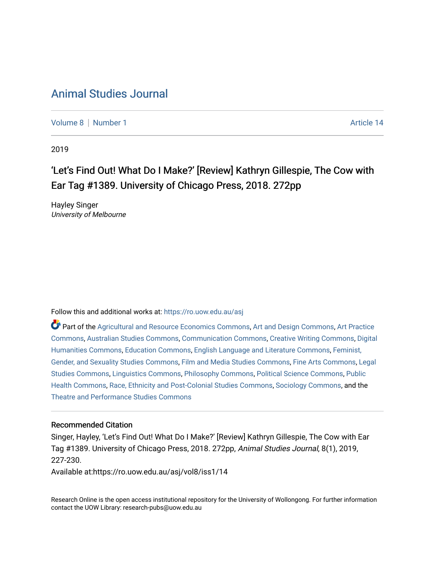# [Animal Studies Journal](https://ro.uow.edu.au/asj)

[Volume 8](https://ro.uow.edu.au/asj/vol8) | [Number 1](https://ro.uow.edu.au/asj/vol8/iss1) Article 14

2019

# 'Let's Find Out! What Do I Make?' [Review] Kathryn Gillespie, The Cow with Ear Tag #1389. University of Chicago Press, 2018. 272pp

Hayley Singer University of Melbourne

Follow this and additional works at: [https://ro.uow.edu.au/asj](https://ro.uow.edu.au/asj?utm_source=ro.uow.edu.au%2Fasj%2Fvol8%2Fiss1%2F14&utm_medium=PDF&utm_campaign=PDFCoverPages) 

Part of the [Agricultural and Resource Economics Commons,](http://network.bepress.com/hgg/discipline/317?utm_source=ro.uow.edu.au%2Fasj%2Fvol8%2Fiss1%2F14&utm_medium=PDF&utm_campaign=PDFCoverPages) [Art and Design Commons](http://network.bepress.com/hgg/discipline/1049?utm_source=ro.uow.edu.au%2Fasj%2Fvol8%2Fiss1%2F14&utm_medium=PDF&utm_campaign=PDFCoverPages), [Art Practice](http://network.bepress.com/hgg/discipline/509?utm_source=ro.uow.edu.au%2Fasj%2Fvol8%2Fiss1%2F14&utm_medium=PDF&utm_campaign=PDFCoverPages) [Commons](http://network.bepress.com/hgg/discipline/509?utm_source=ro.uow.edu.au%2Fasj%2Fvol8%2Fiss1%2F14&utm_medium=PDF&utm_campaign=PDFCoverPages), [Australian Studies Commons,](http://network.bepress.com/hgg/discipline/1020?utm_source=ro.uow.edu.au%2Fasj%2Fvol8%2Fiss1%2F14&utm_medium=PDF&utm_campaign=PDFCoverPages) [Communication Commons,](http://network.bepress.com/hgg/discipline/325?utm_source=ro.uow.edu.au%2Fasj%2Fvol8%2Fiss1%2F14&utm_medium=PDF&utm_campaign=PDFCoverPages) [Creative Writing Commons,](http://network.bepress.com/hgg/discipline/574?utm_source=ro.uow.edu.au%2Fasj%2Fvol8%2Fiss1%2F14&utm_medium=PDF&utm_campaign=PDFCoverPages) [Digital](http://network.bepress.com/hgg/discipline/1286?utm_source=ro.uow.edu.au%2Fasj%2Fvol8%2Fiss1%2F14&utm_medium=PDF&utm_campaign=PDFCoverPages) [Humanities Commons,](http://network.bepress.com/hgg/discipline/1286?utm_source=ro.uow.edu.au%2Fasj%2Fvol8%2Fiss1%2F14&utm_medium=PDF&utm_campaign=PDFCoverPages) [Education Commons,](http://network.bepress.com/hgg/discipline/784?utm_source=ro.uow.edu.au%2Fasj%2Fvol8%2Fiss1%2F14&utm_medium=PDF&utm_campaign=PDFCoverPages) [English Language and Literature Commons](http://network.bepress.com/hgg/discipline/455?utm_source=ro.uow.edu.au%2Fasj%2Fvol8%2Fiss1%2F14&utm_medium=PDF&utm_campaign=PDFCoverPages), [Feminist,](http://network.bepress.com/hgg/discipline/559?utm_source=ro.uow.edu.au%2Fasj%2Fvol8%2Fiss1%2F14&utm_medium=PDF&utm_campaign=PDFCoverPages) [Gender, and Sexuality Studies Commons](http://network.bepress.com/hgg/discipline/559?utm_source=ro.uow.edu.au%2Fasj%2Fvol8%2Fiss1%2F14&utm_medium=PDF&utm_campaign=PDFCoverPages), [Film and Media Studies Commons](http://network.bepress.com/hgg/discipline/563?utm_source=ro.uow.edu.au%2Fasj%2Fvol8%2Fiss1%2F14&utm_medium=PDF&utm_campaign=PDFCoverPages), [Fine Arts Commons,](http://network.bepress.com/hgg/discipline/1141?utm_source=ro.uow.edu.au%2Fasj%2Fvol8%2Fiss1%2F14&utm_medium=PDF&utm_campaign=PDFCoverPages) [Legal](http://network.bepress.com/hgg/discipline/366?utm_source=ro.uow.edu.au%2Fasj%2Fvol8%2Fiss1%2F14&utm_medium=PDF&utm_campaign=PDFCoverPages)  [Studies Commons,](http://network.bepress.com/hgg/discipline/366?utm_source=ro.uow.edu.au%2Fasj%2Fvol8%2Fiss1%2F14&utm_medium=PDF&utm_campaign=PDFCoverPages) [Linguistics Commons,](http://network.bepress.com/hgg/discipline/371?utm_source=ro.uow.edu.au%2Fasj%2Fvol8%2Fiss1%2F14&utm_medium=PDF&utm_campaign=PDFCoverPages) [Philosophy Commons](http://network.bepress.com/hgg/discipline/525?utm_source=ro.uow.edu.au%2Fasj%2Fvol8%2Fiss1%2F14&utm_medium=PDF&utm_campaign=PDFCoverPages), [Political Science Commons](http://network.bepress.com/hgg/discipline/386?utm_source=ro.uow.edu.au%2Fasj%2Fvol8%2Fiss1%2F14&utm_medium=PDF&utm_campaign=PDFCoverPages), [Public](http://network.bepress.com/hgg/discipline/738?utm_source=ro.uow.edu.au%2Fasj%2Fvol8%2Fiss1%2F14&utm_medium=PDF&utm_campaign=PDFCoverPages) [Health Commons,](http://network.bepress.com/hgg/discipline/738?utm_source=ro.uow.edu.au%2Fasj%2Fvol8%2Fiss1%2F14&utm_medium=PDF&utm_campaign=PDFCoverPages) [Race, Ethnicity and Post-Colonial Studies Commons,](http://network.bepress.com/hgg/discipline/566?utm_source=ro.uow.edu.au%2Fasj%2Fvol8%2Fiss1%2F14&utm_medium=PDF&utm_campaign=PDFCoverPages) [Sociology Commons](http://network.bepress.com/hgg/discipline/416?utm_source=ro.uow.edu.au%2Fasj%2Fvol8%2Fiss1%2F14&utm_medium=PDF&utm_campaign=PDFCoverPages), and the [Theatre and Performance Studies Commons](http://network.bepress.com/hgg/discipline/552?utm_source=ro.uow.edu.au%2Fasj%2Fvol8%2Fiss1%2F14&utm_medium=PDF&utm_campaign=PDFCoverPages) 

#### Recommended Citation

Singer, Hayley, 'Let's Find Out! What Do I Make?' [Review] Kathryn Gillespie, The Cow with Ear Tag #1389. University of Chicago Press, 2018. 272pp, Animal Studies Journal, 8(1), 2019, 227-230.

Available at:https://ro.uow.edu.au/asj/vol8/iss1/14

Research Online is the open access institutional repository for the University of Wollongong. For further information contact the UOW Library: research-pubs@uow.edu.au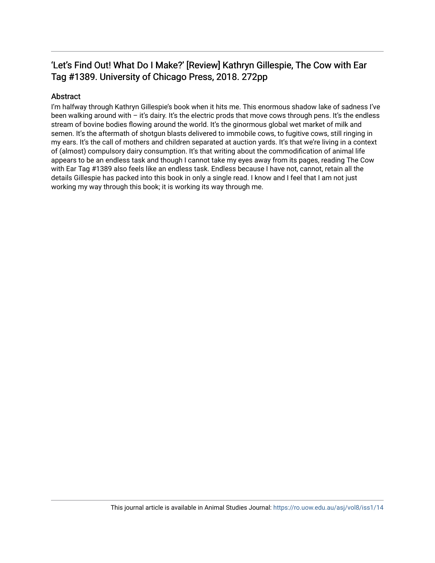### 'Let's Find Out! What Do I Make?' [Review] Kathryn Gillespie, The Cow with Ear Tag #1389. University of Chicago Press, 2018. 272pp

#### Abstract

I'm halfway through Kathryn Gillespie's book when it hits me. This enormous shadow lake of sadness I've been walking around with – it's dairy. It's the electric prods that move cows through pens. It's the endless stream of bovine bodies flowing around the world. It's the ginormous global wet market of milk and semen. It's the aftermath of shotgun blasts delivered to immobile cows, to fugitive cows, still ringing in my ears. It's the call of mothers and children separated at auction yards. It's that we're living in a context of (almost) compulsory dairy consumption. It's that writing about the commodification of animal life appears to be an endless task and though I cannot take my eyes away from its pages, reading The Cow with Ear Tag #1389 also feels like an endless task. Endless because I have not, cannot, retain all the details Gillespie has packed into this book in only a single read. I know and I feel that I am not just working my way through this book; it is working its way through me.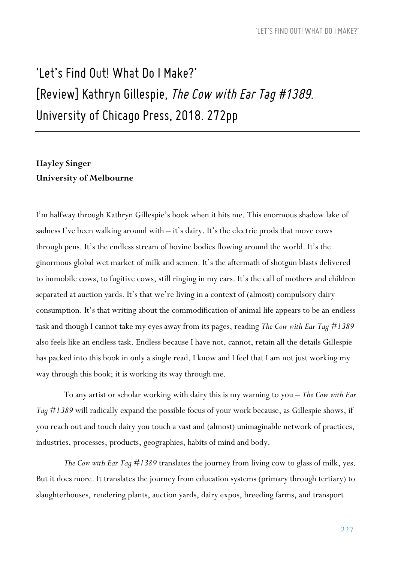# *'Let's Find Out! What Do I Make?' [Review] Kathryn Gillespie, TheCow withEarTag #1389. University of Chicago Press, 2018. 272pp*

#### **Hayley Singer University of Melbourne**

I'm halfway through Kathryn Gillespie's book when it hits me. This enormous shadow lake of sadness I've been walking around with  $-$  it's dairy. It's the electric prods that move cows through pens. It's the endless stream of bovine bodies flowing around the world. It's the ginormous global wet market of milk and semen. It's the aftermath of shotgun blasts delivered to immobile cows, to fugitive cows, still ringing in my ears. It's the call of mothers and children separated at auction yards. It's that we're living in a context of (almost) compulsory dairy consumption. It's that writing about the commodification of animal life appears to be an endless task and though I cannot take my eyes away from its pages, reading *The Cow with Ear Tag #1389* also feels like an endless task. Endless because I have not, cannot, retain all the details Gillespie has packed into this book in only a single read. I know and I feel that I am not just working my way through this book; it is working its way through me.

To any artist or scholar working with dairy this is my warning to you – *The Cow with Ear Tag #1389* will radically expand the possible focus of your work because, as Gillespie shows, if you reach out and touch dairy you touch a vast and (almost) unimaginable network of practices, industries, processes, products, geographies, habits of mind and body.

*The Cow with Ear Tag #1389* translates the journey from living cow to glass of milk, yes. But it does more. It translates the journey from education systems (primary through tertiary) to slaughterhouses, rendering plants, auction yards, dairy expos, breeding farms, and transport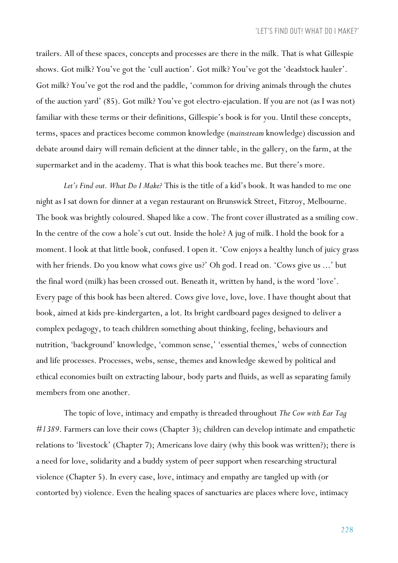trailers. All of these spaces, concepts and processes are there in the milk. That is what Gillespie shows. Got milk? You've got the 'cull auction'. Got milk? You've got the 'deadstock hauler'. Got milk? You've got the rod and the paddle, 'common for driving animals through the chutes of the auction yard' (85). Got milk? You've got electro-ejaculation. If you are not (as I was not) familiar with these terms or their definitions, Gillespie's book is for you. Until these concepts, terms, spaces and practices become common knowledge (*mainstream* knowledge) discussion and debate around dairy will remain deficient at the dinner table, in the gallery, on the farm, at the supermarket and in the academy. That is what this book teaches me. But there's more.

*Let's Find out. What Do I Make?* This is the title of a kid's book. It was handed to me one night as I sat down for dinner at a vegan restaurant on Brunswick Street, Fitzroy, Melbourne. The book was brightly coloured. Shaped like a cow. The front cover illustrated as a smiling cow. In the centre of the cow a hole's cut out. Inside the hole? A jug of milk. I hold the book for a moment. I look at that little book, confused. I open it. 'Cow enjoys a healthy lunch of juicy grass with her friends. Do you know what cows give us?' Oh god. I read on. 'Cows give us ...' but the final word (milk) has been crossed out. Beneath it, written by hand, is the word 'love'. Every page of this book has been altered. Cows give love, love, love. I have thought about that book, aimed at kids pre-kindergarten, a lot. Its bright cardboard pages designed to deliver a complex pedagogy, to teach children something about thinking, feeling, behaviours and nutrition, 'background' knowledge, 'common sense,' 'essential themes,' webs of connection and life processes. Processes, webs, sense, themes and knowledge skewed by political and ethical economies built on extracting labour, body parts and fluids, as well as separating family members from one another.

The topic of love, intimacy and empathy is threaded throughout *The Cow with Ear Tag #1389*. Farmers can love their cows (Chapter 3); children can develop intimate and empathetic relations to 'livestock' (Chapter 7); Americans love dairy (why this book was written?); there is a need for love, solidarity and a buddy system of peer support when researching structural violence (Chapter 5). In every case, love, intimacy and empathy are tangled up with (or contorted by) violence. Even the healing spaces of sanctuaries are places where love, intimacy

228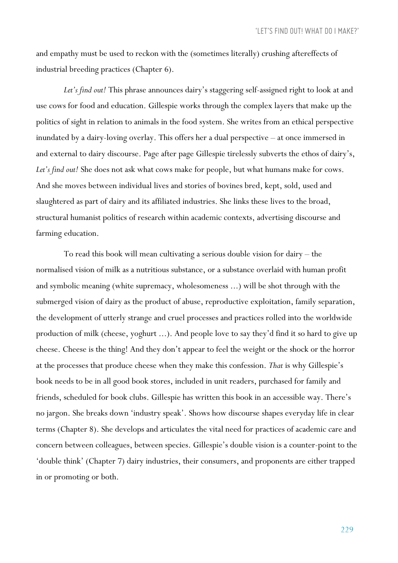and empathy must be used to reckon with the (sometimes literally) crushing aftereffects of industrial breeding practices (Chapter 6).

*Let's find out!* This phrase announces dairy's staggering self-assigned right to look at and use cows for food and education. Gillespie works through the complex layers that make up the politics of sight in relation to animals in the food system. She writes from an ethical perspective inundated by a dairy-loving overlay. This offers her a dual perspective – at once immersed in and external to dairy discourse. Page after page Gillespie tirelessly subverts the ethos of dairy's, *Let's find out!* She does not ask what cows make for people, but what humans make for cows. And she moves between individual lives and stories of bovines bred, kept, sold, used and slaughtered as part of dairy and its affiliated industries. She links these lives to the broad, structural humanist politics of research within academic contexts, advertising discourse and farming education.

To read this book will mean cultivating a serious double vision for dairy – the normalised vision of milk as a nutritious substance, or a substance overlaid with human profit and symbolic meaning (white supremacy, wholesomeness ...) will be shot through with the submerged vision of dairy as the product of abuse, reproductive exploitation, family separation, the development of utterly strange and cruel processes and practices rolled into the worldwide production of milk (cheese, yoghurt ...). And people love to say they'd find it so hard to give up cheese. Cheese is the thing! And they don't appear to feel the weight or the shock or the horror at the processes that produce cheese when they make this confession. *That* is why Gillespie's book needs to be in all good book stores, included in unit readers, purchased for family and friends, scheduled for book clubs. Gillespie has written this book in an accessible way. There's no jargon. She breaks down 'industry speak'. Shows how discourse shapes everyday life in clear terms (Chapter 8). She develops and articulates the vital need for practices of academic care and concern between colleagues, between species. Gillespie's double vision is a counter-point to the 'double think' (Chapter 7) dairy industries, their consumers, and proponents are either trapped in or promoting or both.